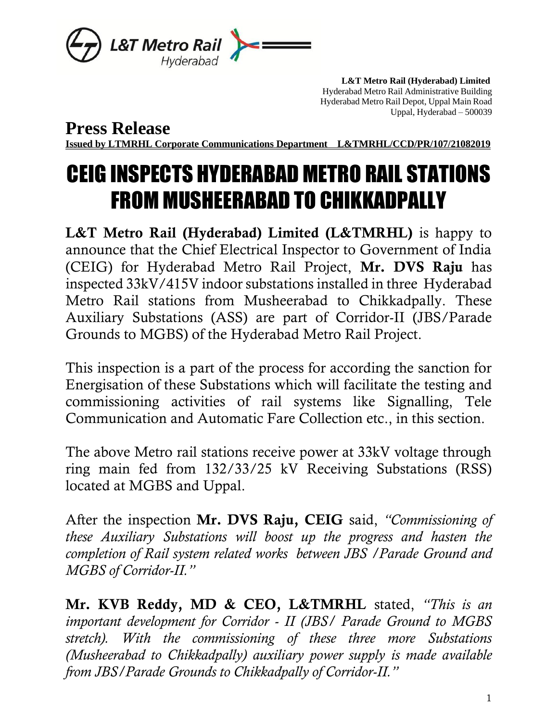

 **L&T Metro Rail (Hyderabad) Limited** Hyderabad Metro Rail Administrative Building Hyderabad Metro Rail Depot, Uppal Main Road Uppal, Hyderabad – 500039

**Press Release**

**Issued by LTMRHL Corporate Communications Department L&TMRHL/CCD/PR/107/21082019**

## CEIG INSPECTS HYDERABAD METRO RAIL STATIONS FROM MUSHEERABAD TO CHIKKADPALLY

L&T Metro Rail (Hyderabad) Limited (L&TMRHL) is happy to announce that the Chief Electrical Inspector to Government of India (CEIG) for Hyderabad Metro Rail Project, Mr. DVS Raju has inspected 33kV/415V indoor substations installed in three Hyderabad Metro Rail stations from Musheerabad to Chikkadpally. These Auxiliary Substations (ASS) are part of Corridor-II (JBS/Parade Grounds to MGBS) of the Hyderabad Metro Rail Project.

This inspection is a part of the process for according the sanction for Energisation of these Substations which will facilitate the testing and commissioning activities of rail systems like Signalling, Tele Communication and Automatic Fare Collection etc., in this section.

The above Metro rail stations receive power at 33kV voltage through ring main fed from 132/33/25 kV Receiving Substations (RSS) located at MGBS and Uppal.

After the inspection Mr. DVS Raju, CEIG said, *"Commissioning of these Auxiliary Substations will boost up the progress and hasten the completion of Rail system related works between JBS /Parade Ground and MGBS of Corridor-II."*

Mr. KVB Reddy, MD & CEO, L&TMRHL stated, *"This is an important development for Corridor - II (JBS/ Parade Ground to MGBS stretch). With the commissioning of these three more Substations (Musheerabad to Chikkadpally) auxiliary power supply is made available from JBS/Parade Grounds to Chikkadpally of Corridor-II."*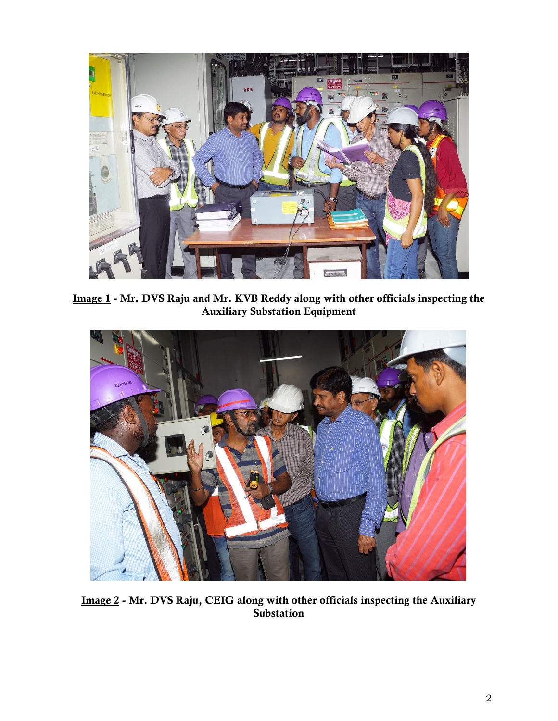

Image 1 - Mr. DVS Raju and Mr. KVB Reddy along with other officials inspecting the Auxiliary Substation Equipment



Image 2 - Mr. DVS Raju, CEIG along with other officials inspecting the Auxiliary Substation